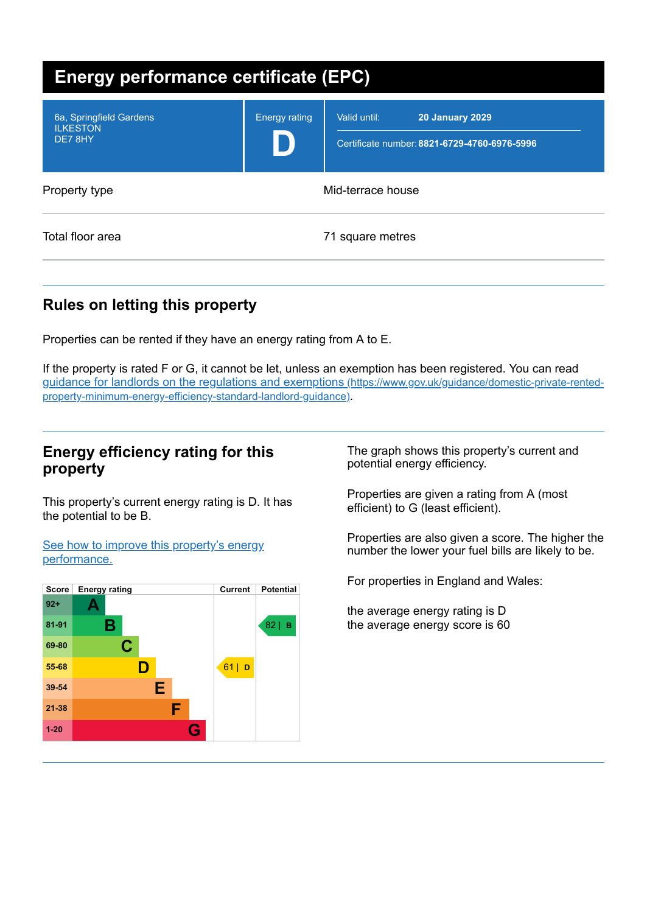| <b>Energy performance certificate (EPC)</b>           |                      |                                                                                        |
|-------------------------------------------------------|----------------------|----------------------------------------------------------------------------------------|
| 6a, Springfield Gardens<br><b>ILKESTON</b><br>DE7 8HY | <b>Energy rating</b> | Valid until:<br><b>20 January 2029</b><br>Certificate number: 8821-6729-4760-6976-5996 |
| Property type                                         |                      | Mid-terrace house                                                                      |
| Total floor area                                      |                      | 71 square metres                                                                       |

# **Rules on letting this property**

Properties can be rented if they have an energy rating from A to E.

If the property is rated F or G, it cannot be let, unless an exemption has been registered. You can read guidance for landlords on the regulations and exemptions (https://www.gov.uk/guidance/domestic-private-rented[property-minimum-energy-efficiency-standard-landlord-guidance\)](https://www.gov.uk/guidance/domestic-private-rented-property-minimum-energy-efficiency-standard-landlord-guidance).

### **Energy efficiency rating for this property**

This property's current energy rating is D. It has the potential to be B.

See how to improve this property's energy [performance.](#page-2-0)



The graph shows this property's current and potential energy efficiency.

Properties are given a rating from A (most efficient) to G (least efficient).

Properties are also given a score. The higher the number the lower your fuel bills are likely to be.

For properties in England and Wales:

the average energy rating is D the average energy score is 60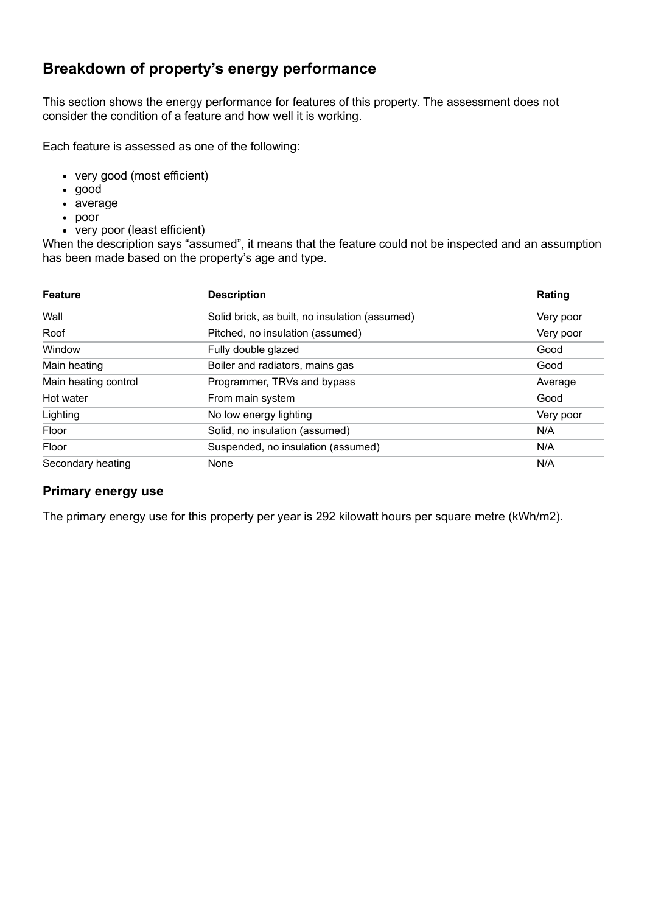# **Breakdown of property's energy performance**

This section shows the energy performance for features of this property. The assessment does not consider the condition of a feature and how well it is working.

Each feature is assessed as one of the following:

- very good (most efficient)
- good
- average
- poor
- very poor (least efficient)

When the description says "assumed", it means that the feature could not be inspected and an assumption has been made based on the property's age and type.

| <b>Feature</b>       | <b>Description</b>                             | Rating    |
|----------------------|------------------------------------------------|-----------|
| Wall                 | Solid brick, as built, no insulation (assumed) | Very poor |
| Roof                 | Pitched, no insulation (assumed)               | Very poor |
| Window               | Fully double glazed                            | Good      |
| Main heating         | Boiler and radiators, mains gas                | Good      |
| Main heating control | Programmer, TRVs and bypass                    | Average   |
| Hot water            | From main system                               | Good      |
| Lighting             | No low energy lighting                         | Very poor |
| Floor                | Solid, no insulation (assumed)                 | N/A       |
| Floor                | Suspended, no insulation (assumed)             | N/A       |
| Secondary heating    | None                                           | N/A       |

#### **Primary energy use**

The primary energy use for this property per year is 292 kilowatt hours per square metre (kWh/m2).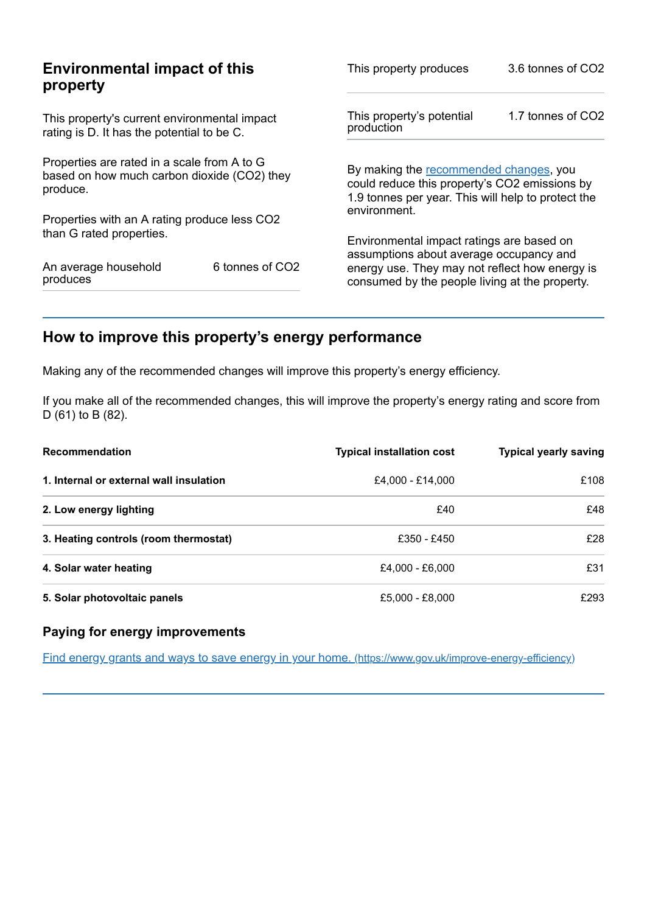| <b>Environmental impact of this</b><br>property                                                        |                 | This property produces                                                                                                                        | 3.6 tonnes of CO2 |
|--------------------------------------------------------------------------------------------------------|-----------------|-----------------------------------------------------------------------------------------------------------------------------------------------|-------------------|
| This property's current environmental impact<br>rating is D. It has the potential to be C.             |                 | This property's potential<br>production                                                                                                       | 1.7 tonnes of CO2 |
| Properties are rated in a scale from A to G<br>based on how much carbon dioxide (CO2) they<br>produce. |                 | By making the recommended changes, you<br>could reduce this property's CO2 emissions by<br>1.9 tonnes per year. This will help to protect the |                   |
| Properties with an A rating produce less CO2                                                           |                 | environment.                                                                                                                                  |                   |
| than G rated properties.                                                                               |                 | Environmental impact ratings are based on<br>assumptions about average occupancy and                                                          |                   |
| An average household<br>produces                                                                       | 6 tonnes of CO2 | energy use. They may not reflect how energy is<br>consumed by the people living at the property.                                              |                   |

# <span id="page-2-0"></span>**How to improve this property's energy performance**

Making any of the recommended changes will improve this property's energy efficiency.

If you make all of the recommended changes, this will improve the property's energy rating and score from D (61) to B (82).

| <b>Recommendation</b>                   | <b>Typical installation cost</b> | <b>Typical yearly saving</b> |
|-----------------------------------------|----------------------------------|------------------------------|
| 1. Internal or external wall insulation | £4,000 - £14,000                 | £108                         |
| 2. Low energy lighting                  | £40                              | £48                          |
| 3. Heating controls (room thermostat)   | £350 - £450                      | £28                          |
| 4. Solar water heating                  | £4,000 - £6,000                  | £31                          |
| 5. Solar photovoltaic panels            | £5,000 - £8,000                  | £293                         |

#### **Paying for energy improvements**

Find energy grants and ways to save energy in your home. [\(https://www.gov.uk/improve-energy-efficiency\)](https://www.gov.uk/improve-energy-efficiency)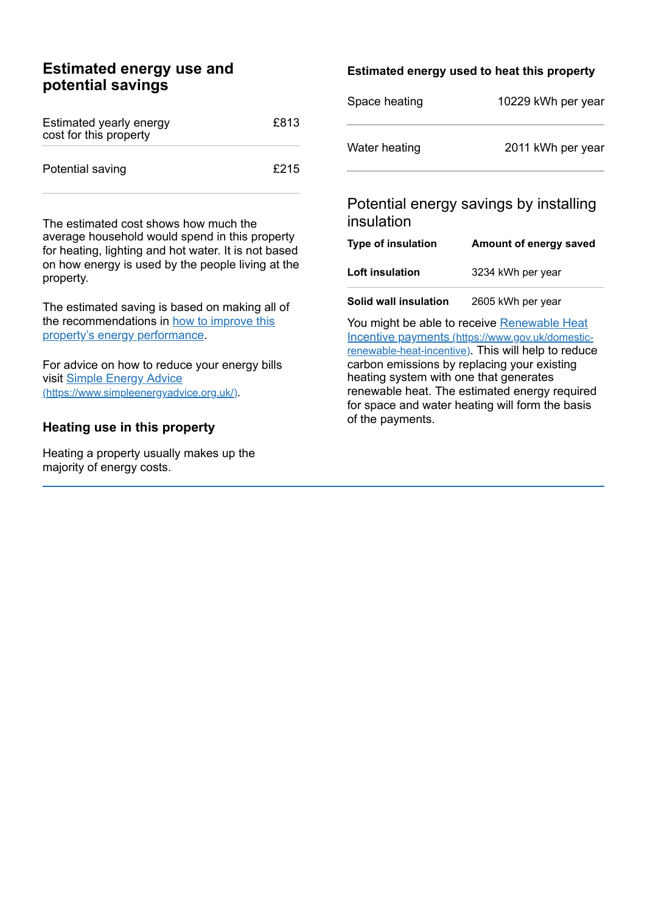## **Estimated energy use and potential savings**

| Estimated yearly energy<br>cost for this property | £813 |
|---------------------------------------------------|------|
| Potential saving                                  | £215 |

The estimated cost shows how much the average household would spend in this property for heating, lighting and hot water. It is not based on how energy is used by the people living at the property.

The estimated saving is based on making all of the [recommendations](#page-2-0) in how to improve this property's energy performance.

For advice on how to reduce your energy bills visit Simple Energy Advice [\(https://www.simpleenergyadvice.org.uk/\)](https://www.simpleenergyadvice.org.uk/).

#### **Heating use in this property**

Heating a property usually makes up the majority of energy costs.

#### **Estimated energy used to heat this property**

| Space heating | 10229 kWh per year |
|---------------|--------------------|
| Water heating | 2011 kWh per year  |

## Potential energy savings by installing insulation

| <b>Type of insulation</b> | Amount of energy saved |
|---------------------------|------------------------|
| <b>Loft insulation</b>    | 3234 kWh per year      |
| Solid wall insulation     | 2605 kWh per year      |

You might be able to receive Renewable Heat Incentive payments [\(https://www.gov.uk/domestic](https://www.gov.uk/domestic-renewable-heat-incentive)renewable-heat-incentive). This will help to reduce carbon emissions by replacing your existing heating system with one that generates renewable heat. The estimated energy required for space and water heating will form the basis of the payments.